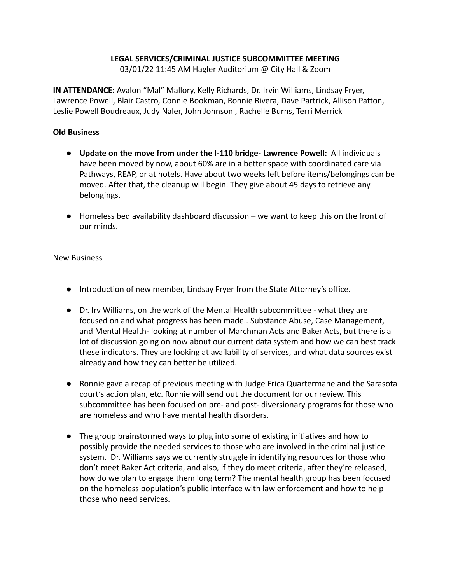## **LEGAL SERVICES/CRIMINAL JUSTICE SUBCOMMITTEE MEETING**

03/01/22 11:45 AM Hagler Auditorium @ City Hall & Zoom

**IN ATTENDANCE:** Avalon "Mal" Mallory, Kelly Richards, Dr. Irvin Williams, Lindsay Fryer, Lawrence Powell, Blair Castro, Connie Bookman, Ronnie Rivera, Dave Partrick, Allison Patton, Leslie Powell Boudreaux, Judy Naler, John Johnson , Rachelle Burns, Terri Merrick

## **Old Business**

- **Update on the move from under the I-110 bridge- Lawrence Powell:** All individuals have been moved by now, about 60% are in a better space with coordinated care via Pathways, REAP, or at hotels. Have about two weeks left before items/belongings can be moved. After that, the cleanup will begin. They give about 45 days to retrieve any belongings.
- $\bullet$  Homeless bed availability dashboard discussion we want to keep this on the front of our minds.

## New Business

- Introduction of new member, Lindsay Fryer from the State Attorney's office.
- Dr. Irv Williams, on the work of the Mental Health subcommittee what they are focused on and what progress has been made.. Substance Abuse, Case Management, and Mental Health- looking at number of Marchman Acts and Baker Acts, but there is a lot of discussion going on now about our current data system and how we can best track these indicators. They are looking at availability of services, and what data sources exist already and how they can better be utilized.
- Ronnie gave a recap of previous meeting with Judge Erica Quartermane and the Sarasota court's action plan, etc. Ronnie will send out the document for our review. This subcommittee has been focused on pre- and post- diversionary programs for those who are homeless and who have mental health disorders.
- The group brainstormed ways to plug into some of existing initiatives and how to possibly provide the needed services to those who are involved in the criminal justice system. Dr. Williams says we currently struggle in identifying resources for those who don't meet Baker Act criteria, and also, if they do meet criteria, after they're released, how do we plan to engage them long term? The mental health group has been focused on the homeless population's public interface with law enforcement and how to help those who need services.